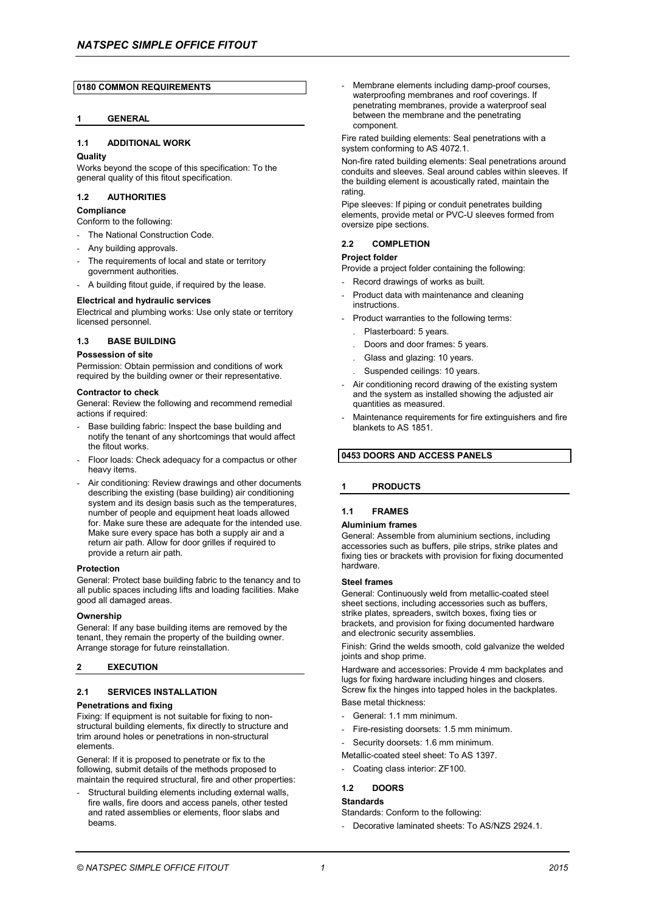## **0180 COMMON REQUIREMENTS**

## **1 GENERAL**

## **1.1 ADDITIONAL WORK**

### **Quality**

Works beyond the scope of this specification: To the general quality of this fitout specification.

## **1.2 AUTHORITIES**

# **Compliance**

Conform to the following:

- The National Construction Code.
- Any building approvals.
- The requirements of local and state or territory government authorities.
- A building fitout guide, if required by the lease.

# **Electrical and hydraulic services**

Electrical and plumbing works: Use only state or territory licensed personnel.

## **1.3 BASE BUILDING**

### **Possession of site**

Permission: Obtain permission and conditions of work required by the building owner or their representative.

### **Contractor to check**

General: Review the following and recommend remedial actions if required:

- Base building fabric: Inspect the base building and notify the tenant of any shortcomings that would affect the fitout works.
- Floor loads: Check adequacy for a compactus or other heavy items.
- Air conditioning: Review drawings and other documents describing the existing (base building) air conditioning system and its design basis such as the temperatures, number of people and equipment heat loads allowed for. Make sure these are adequate for the intended use. Make sure every space has both a supply air and a return air path. Allow for door grilles if required to provide a return air path.

### **Protection**

General: Protect base building fabric to the tenancy and to all public spaces including lifts and loading facilities. Make good all damaged areas.

#### **Ownership**

General: If any base building items are removed by the tenant, they remain the property of the building owner. Arrange storage for future reinstallation.

## **2 EXECUTION**

## **2.1 SERVICES INSTALLATION**

### **Penetrations and fixing**

Fixing: If equipment is not suitable for fixing to nonstructural building elements, fix directly to structure and trim around holes or penetrations in non-structural elements.

General: If it is proposed to penetrate or fix to the following, submit details of the methods proposed to maintain the required structural, fire and other properties:

Structural building elements including external walls, fire walls, fire doors and access panels, other tested and rated assemblies or elements, floor slabs and beams.

Membrane elements including damp-proof courses, waterproofing membranes and roof coverings. If penetrating membranes, provide a waterproof seal between the membrane and the penetrating component.

Fire rated building elements: Seal penetrations with a system conforming to AS 4072.1.

Non-fire rated building elements: Seal penetrations around conduits and sleeves. Seal around cables within sleeves. If the building element is acoustically rated, maintain the rating.

Pipe sleeves: If piping or conduit penetrates building elements, provide metal or PVC-U sleeves formed from oversize pipe sections.

## **2.2 COMPLETION**

## **Project folder**

Provide a project folder containing the following:

- Record drawings of works as built.
- Product data with maintenance and cleaning instructions.
- Product warranties to the following terms:
	- . Plasterboard: 5 years.
	- . Doors and door frames: 5 years.
	- . Glass and glazing: 10 years.
	- . Suspended ceilings: 10 years.
- Air conditioning record drawing of the existing system and the system as installed showing the adjusted air quantities as measured.
- Maintenance requirements for fire extinguishers and fire blankets to AS 1851.

# **0453 DOORS AND ACCESS PANELS**

## **1 PRODUCTS**

## **1.1 FRAMES**

### **Aluminium frames**

General: Assemble from aluminium sections, including accessories such as buffers, pile strips, strike plates and fixing ties or brackets with provision for fixing documented hardware.

#### **Steel frames**

General: Continuously weld from metallic-coated steel sheet sections, including accessories such as buffers, strike plates, spreaders, switch boxes, fixing ties or brackets, and provision for fixing documented hardware and electronic security assemblies.

Finish: Grind the welds smooth, cold galvanize the welded joints and shop prime.

Hardware and accessories: Provide 4 mm backplates and lugs for fixing hardware including hinges and closers. Screw fix the hinges into tapped holes in the backplates. Base metal thickness:

- General: 1.1 mm minimum.
- Fire-resisting doorsets: 1.5 mm minimum.
- Security doorsets: 1.6 mm minimum.
- Metallic-coated steel sheet: To AS 1397.
- Coating class interior: ZF100.

## **1.2 DOORS**

## **Standards**

Standards: Conform to the following: